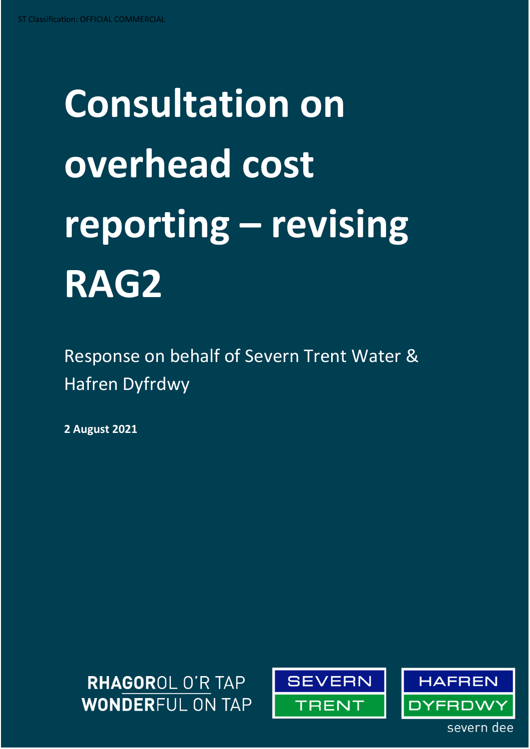# **Consultation on overhead cost reporting – revising RAG2**

Response on behalf of Severn Trent Water & Hafren Dyfrdwy

**2 August 2021**





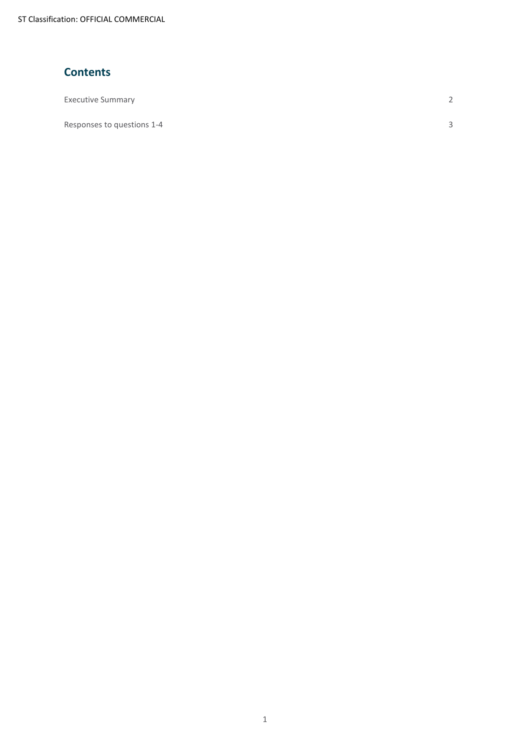ST Classification: OFFICIAL COMMERCIAL

#### **Contents**

| <b>Executive Summary</b> | $\sim$ |
|--------------------------|--------|
|                          |        |

Responses to questions 1-4 3

1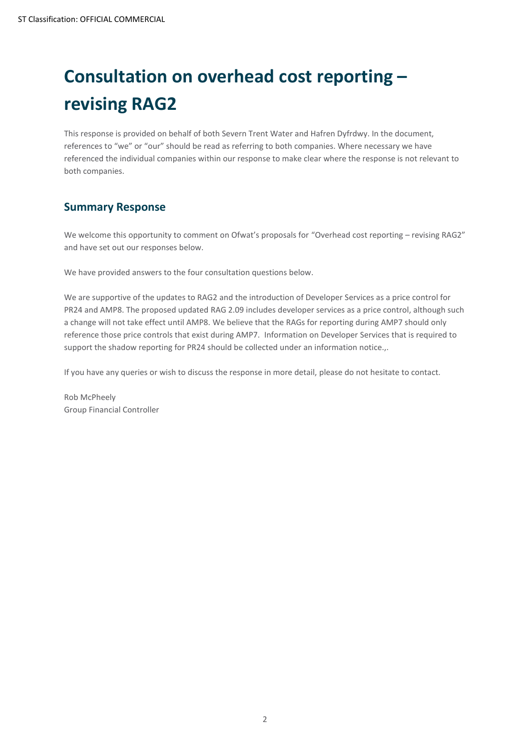# **Consultation on overhead cost reporting – revising RAG2**

This response is provided on behalf of both Severn Trent Water and Hafren Dyfrdwy. In the document, references to "we" or "our" should be read as referring to both companies. Where necessary we have referenced the individual companies within our response to make clear where the response is not relevant to both companies.

#### **Summary Response**

We welcome this opportunity to comment on Ofwat's proposals for "Overhead cost reporting – revising RAG2" and have set out our responses below.

We have provided answers to the four consultation questions below.

We are supportive of the updates to RAG2 and the introduction of Developer Services as a price control for PR24 and AMP8. The proposed updated RAG 2.09 includes developer services as a price control, although such a change will not take effect until AMP8. We believe that the RAGs for reporting during AMP7 should only reference those price controls that exist during AMP7. Information on Developer Services that is required to support the shadow reporting for PR24 should be collected under an information notice...

If you have any queries or wish to discuss the response in more detail, please do not hesitate to contact.

Rob McPheely Group Financial Controller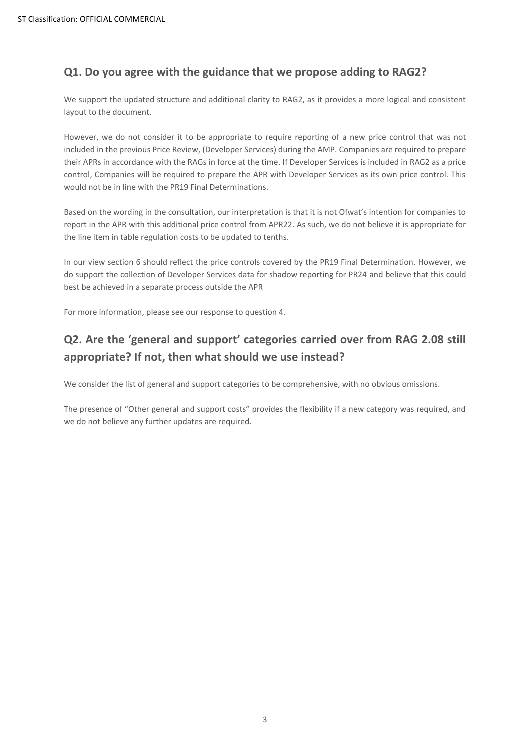#### **Q1. Do you agree with the guidance that we propose adding to RAG2?**

We support the updated structure and additional clarity to RAG2, as it provides a more logical and consistent layout to the document.

However, we do not consider it to be appropriate to require reporting of a new price control that was not included in the previous Price Review, (Developer Services) during the AMP. Companies are required to prepare their APRs in accordance with the RAGs in force at the time. If Developer Services is included in RAG2 as a price control, Companies will be required to prepare the APR with Developer Services as its own price control. This would not be in line with the PR19 Final Determinations.

Based on the wording in the consultation, our interpretation is that it is not Ofwat's intention for companies to report in the APR with this additional price control from APR22. As such, we do not believe it is appropriate for the line item in table regulation costs to be updated to tenths.

In our view section 6 should reflect the price controls covered by the PR19 Final Determination. However, we do support the collection of Developer Services data for shadow reporting for PR24 and believe that this could best be achieved in a separate process outside the APR

For more information, please see our response to question 4.

## **Q2. Are the 'general and support' categories carried over from RAG 2.08 still appropriate? If not, then what should we use instead?**

We consider the list of general and support categories to be comprehensive, with no obvious omissions.

The presence of "Other general and support costs" provides the flexibility if a new category was required, and we do not believe any further updates are required.